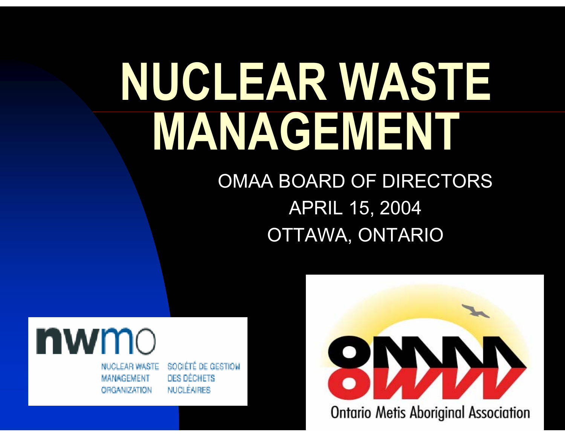# **NUCLEAR WASTE MANAGEMENT**

#### OMAA BOARD OF DIRECTORS APRIL 15, 2004 OTTAWA, ONTARIO



NUCLEAR WASTE MANAGEMENT **ORGANIZATION** 

SOCIÉTÉ DE GESTION DES DÉCHETS **NUCLÉAIRES** 



Ontario Metic Abericinal Acceptatio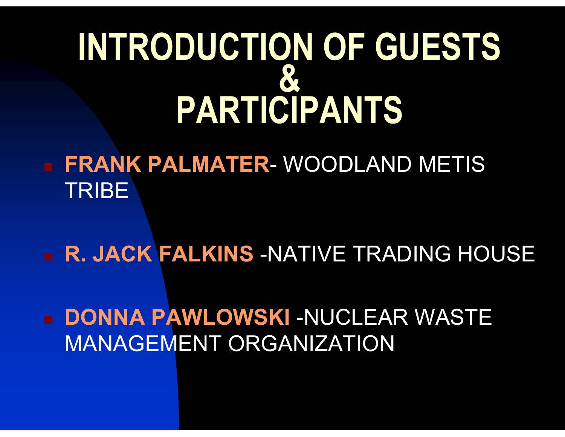### **INTRODUCTION OF GUESTS & PARTICIPANTS**

- **FRANK PALMATER** WOODLAND METIS **TRIBE**
- **R. JACK FALKINS** -NATIVE TRADING HOUSE
- **DONNA PAWLOWSKI** -NUCLEAR WASTE MANAGEMENT ORGANIZATION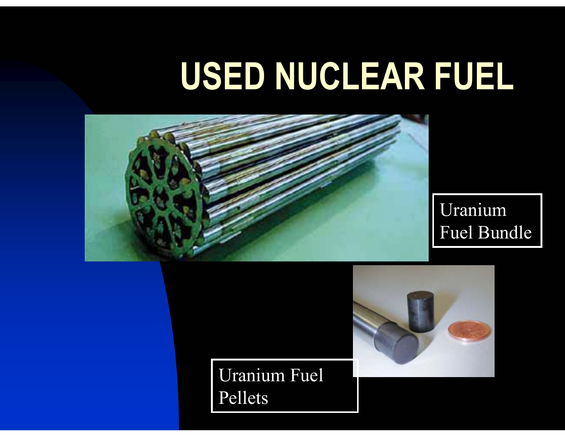## **USED NUCLEAR FUEL**



Uranium Fuel Bundle



Uranium Fuel Pellets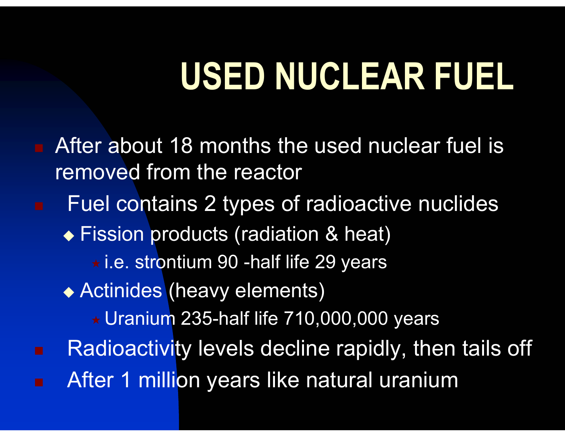## **USED NUCLEAR FUEL**

**E** After about 18 months the used nuclear fuel is removed from the reactor Fuel contains 2 types of radioactive nuclides ◆ Fission products (radiation & heat) **★i.e. strontium 90 -half life 29 years** ◆ Actinides (heavy elements) Uranium 235-half life 710,000,000 years Radioactivity levels decline rapidly, then tails off After 1 million years like natural uranium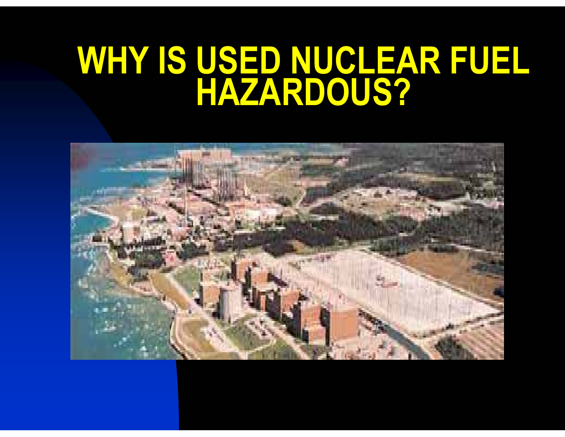## **WHY IS USED NUCLEAR FUEL HAZARDOUS?**

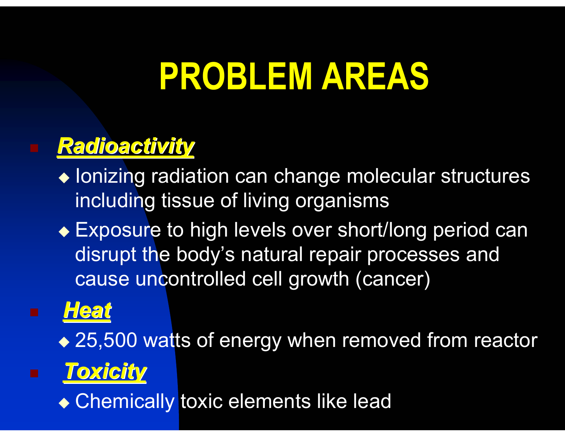## **PROBLEM AREAS**

#### *Radioactivity Radioactivity*

- $\blacklozenge$  lonizing radiation can change molecular structures including tissue of living organisms
- ◆ Exposure to high levels over short/long period can disrupt the body's natural repair processes and cause uncontrolled cell growth (cancer)

#### *Heat*

◆ 25,500 watts of energy when removed from reactor

#### *Toxicity Toxicity*

• Chemically toxic elements like lead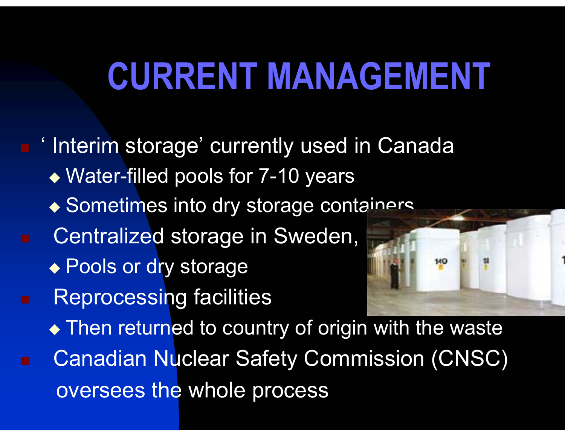## **CURRENT MANAGEMENT**

 ' Interim storage' currently used in Canada Water-filled pools for 7-10 years ◆ Sometimes into dry storage containers Centralized storage in Sweden, 140 ◆ Pools or dry storage Reprocessing facilities • Then returned to country of origin with the waste Canadian Nuclear Safety Commission (CNSC) oversees the whole process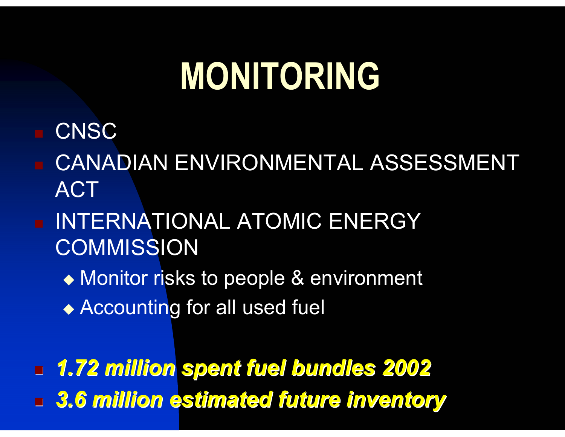## **MONITORING**

**CNSC**  CANADIAN ENVIRONMENTAL ASSESSMENT **ACT** 

- **E INTERNATIONAL ATOMIC ENERGY COMMISSION** 
	- Monitor risks to people & environment
	- Accounting for all used fuel

 *1.72 million spent fuel bundles 2002 1.72 million spent fuel bundles 2002 3.6 million estimated future inventory 3.6 million estimated future inventory*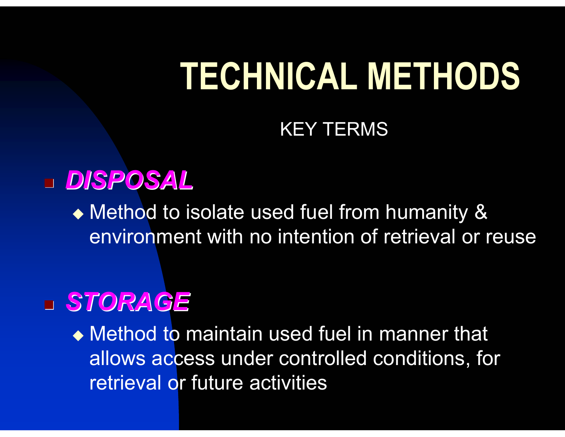# **TECHNICAL METHODS**

#### KEY TERMS

#### *DISPOSAL DISPOSAL*

 Method to isolate used fuel from humanity & environment with no intention of retrieval or reuse

#### *STORAGE STORAGE*

• Method to maintain used fuel in manner that allows access under controlled conditions, for retrieval or future activities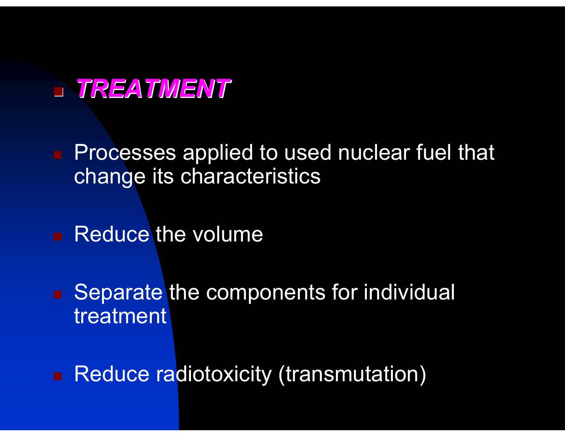#### *TREATMENT TREATMENT*

#### Processes applied to used nuclear fuel that change its characteristics

- Reduce the volume
- Separate the components for individual treatment

Reduce radiotoxicity (transmutation)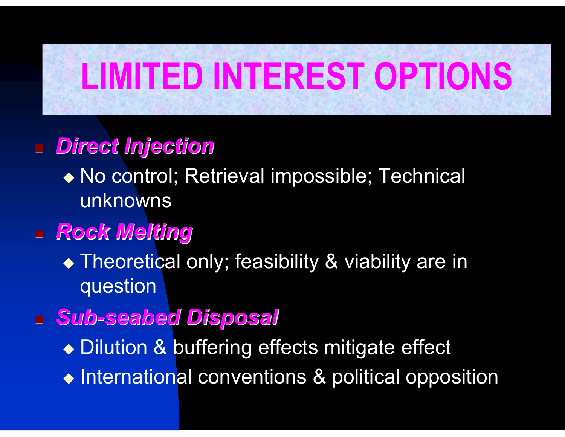# **LIMITED INTEREST OPTIONS**

- *Direct Injection Direct Injection*
	- ◆ No control; Retrieval impossible; Technical unknowns
- *Rock Melting Rock Melting*
	- ◆ Theoretical only; feasibility & viability are in question
- *Sub -seabed Disposal seabed Disposal*
	- ◆ Dilution & buffering effects mitigate effect
	- International conventions & political opposition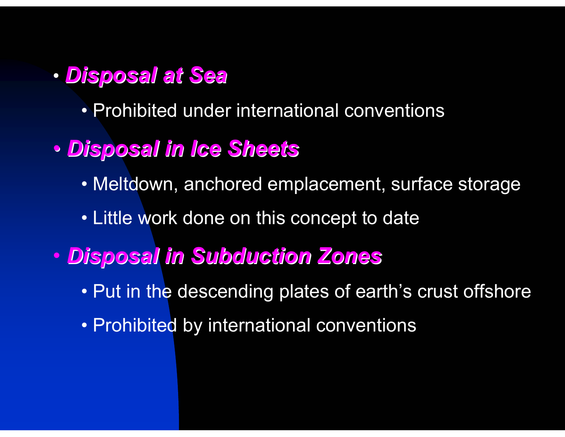- • *Disposal at Sea Disposal at Sea*
	- Prohibited under international conventions
- *Disposal in Ice Sheets Disposal in Ice Sheets*
	- Meltdown, anchored emplacement, surface storage
	- Little work done on this concept to date
- *Disposal in Disposal in Subduction Subduction Zones*
	- Put in the descending plates of earth's crust offshore
	- Prohibited by international conventions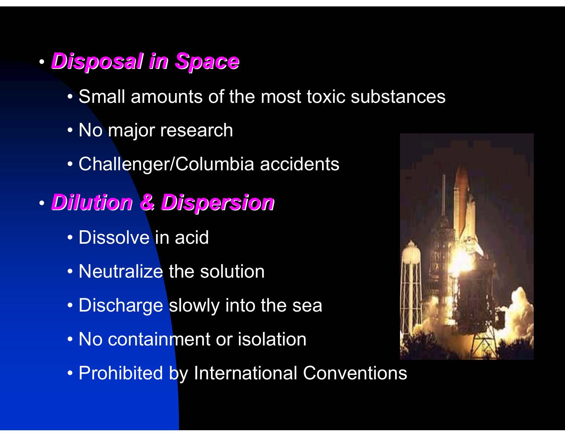- • *Disposal in Space Disposal in Space*
	- Small amounts of the most toxic substances
	- No major research
	- Challenger/Columbia accidents
- • *Dilution & Dispersion Dilution & Dispersion*
	- Dissolve in acid
	- Neutralize the solution
	- Discharge slowly into the sea
	- No containment or isolation
	- Prohibited by International Conventions

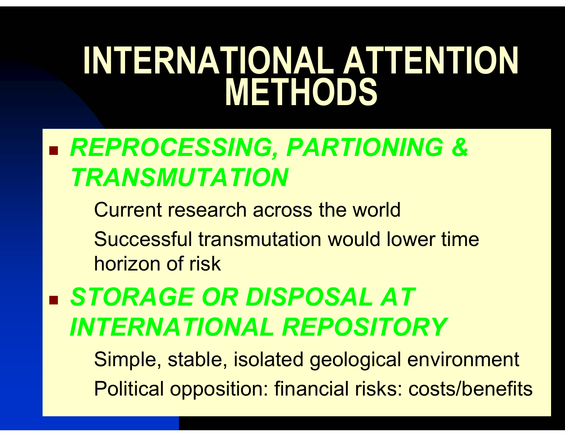## **INTERNATIONAL ATTENTION METHODS**

#### *REPROCESSING, PARTIONING & TRANSMUTATION*

 Current research across the world Successful transmutation would lower time horizon of risk

#### *STORAGE OR DISPOSAL AT INTERNATIONAL REPOSITORY*

 Simple, stable, isolated geological environment Political opposition: financial risks: costs/benefits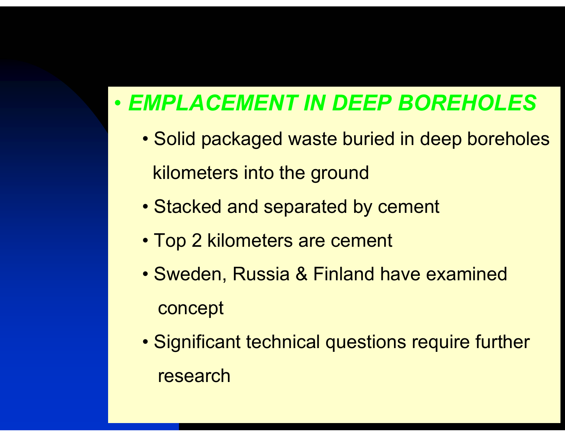#### • *EMPLACEMENT IN DEEP BOREHOLES*

- $\bullet$  Solid packaged waste buried in deep borehole kilometers into the ground
- Stacked and separated by cement
- Top 2 kilometers are cement
- Sweden, Russia & Finland have examined concept
- Significant technical questions require further research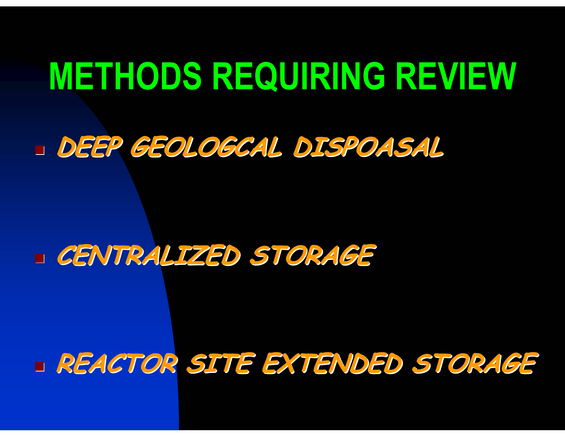## **METHODS REQUIRING REVIEW**

#### **DEEP GEOLOGCAL DISPOASAL DEEP GEOLOGCAL DISPOASAL**

#### **CENTRALIZED STORAGE CENTRALIZED STORAGE**

#### **REACTOR SITE EXTENDED STORAGE REACTOR SITE EXTENDED STORAGE**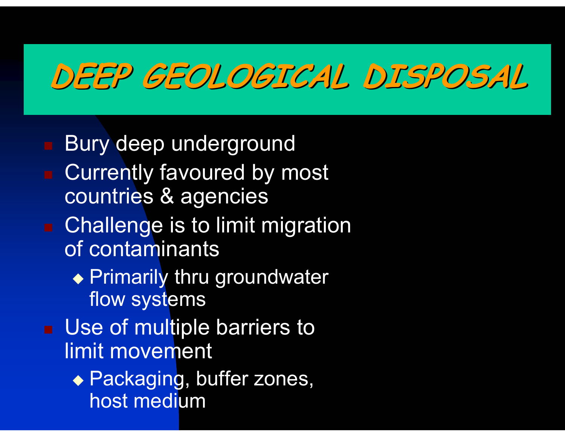## **DEEP GEOLOGICAL DISPOSAL DEEP GEOLOGICAL DISPOSAL**

- Bury deep underground
- **E** Currently favoured by most countries & agencies
- **E** Challenge is to limit migration of contaminants
	- ◆ Primarily thru groundwater flow systems
- Use of multiple barriers to limit movement
	- ◆ Packaging, buffer zones, host medium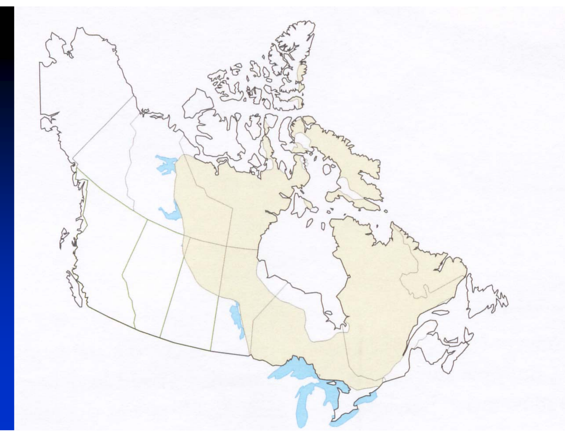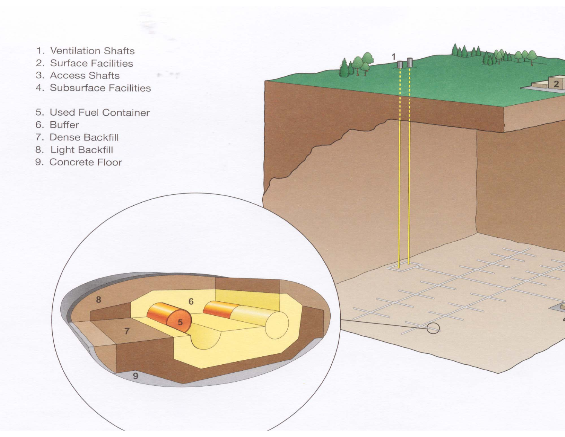- 1. Ventilation Shafts
- 2. Surface Facilities
- 3. Access Shafts
- 4. Subsurface Facilities

 $\mathfrak{g}_n$  . Let

 $6\phantom{1}6$ 

5

5. Used Fuel Container

 $\bf{8}$ 

 $\overline{7}$ 

 $9$ 

- 6. Buffer
- 7. Dense Backfill
- 8. Light Backfill
- 9. Concrete Floor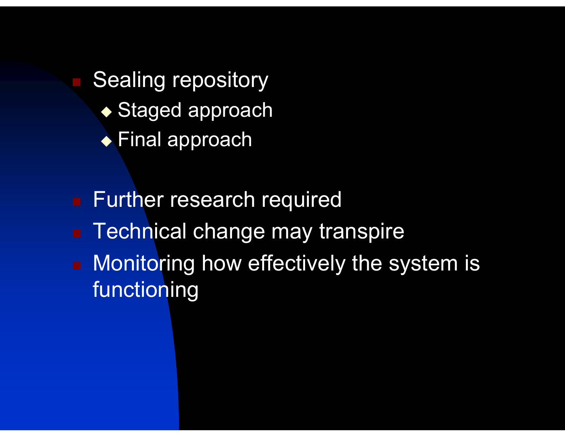Sealing repository ◆ Staged approach Final approach

**E** Further research required Technical change may transpire Monitoring how effectively the system is functioning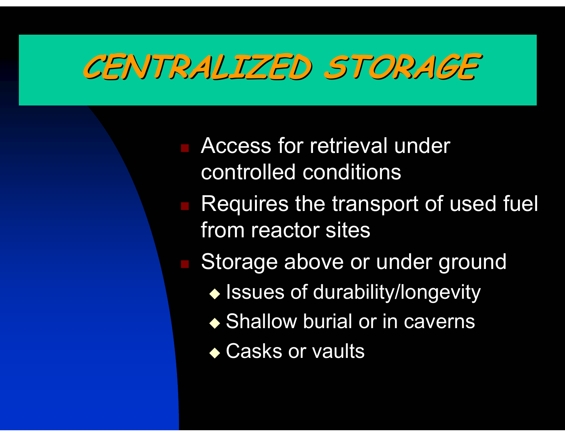## **CENTRALIZED STORAGE CENTRALIZED STORAGE**

- Access for retrieval under controlled conditions
- **Requires the transport of used fuel** from reactor sites
	- Storage above or under ground
		- ◆ Issues of durability/longevity
		- ◆ Shallow burial or in caverns
		- ◆ Casks or vaults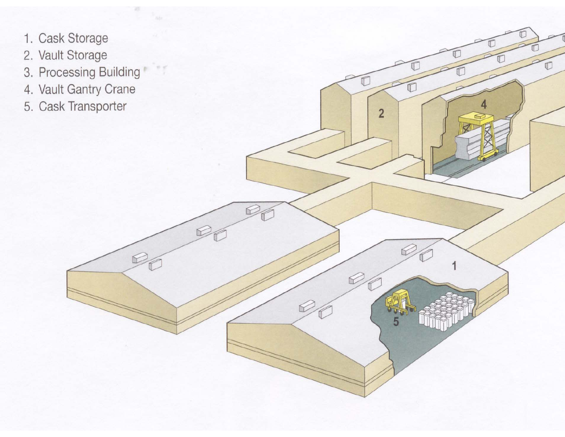- 1. Cask Storage
- 2. Vault Storage
- 3. Processing Building

19

Œ

Œ

 $\widehat{\mathbb{C}}$ 

 $\overline{\mathbb{O}}$ 

€

5

 $\overline{2}$ 

 $\mathbb{C}$ 

4

- 4. Vault Gantry Crane
- 5. Cask Transporter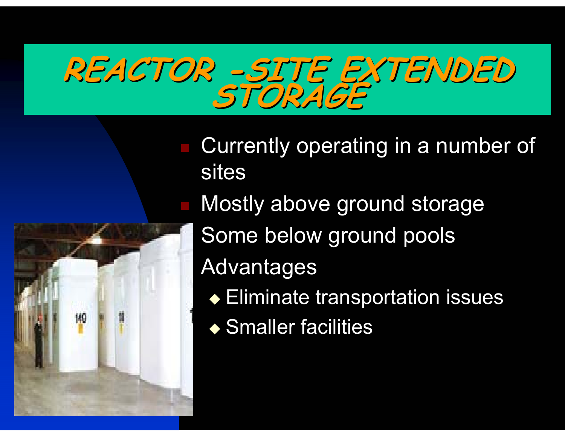# **REACTOR REACTOR -SITE EXTENDED SITE EXTENDED STORAGE STORAGE**

 Currently operating in a number of sites

Mostly above ground storage

Some below ground pools

Advantages

119

◆ Eliminate transportation issues

◆ Smaller facilities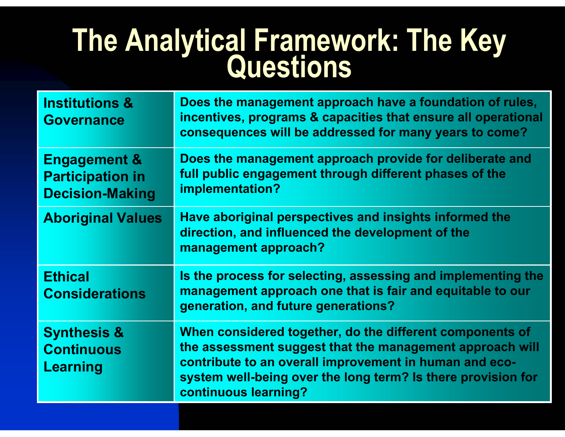# **The Analytical Framework: The Key Questions**

| <b>Institutions &amp;</b><br><b>Governance</b>                               | Does the management approach have a foundation of rules,<br>incentives, programs & capacities that ensure all operational<br>consequences will be addressed for many years to come?                                                                                    |
|------------------------------------------------------------------------------|------------------------------------------------------------------------------------------------------------------------------------------------------------------------------------------------------------------------------------------------------------------------|
| <b>Engagement &amp;</b><br><b>Participation in</b><br><b>Decision-Making</b> | Does the management approach provide for deliberate and<br>full public engagement through different phases of the<br>implementation?                                                                                                                                   |
| <b>Aboriginal Values</b>                                                     | Have aboriginal perspectives and insights informed the<br>direction, and influenced the development of the<br>management approach?                                                                                                                                     |
| <b>Ethical</b><br><b>Considerations</b>                                      | Is the process for selecting, assessing and implementing the<br>management approach one that is fair and equitable to our<br>generation, and future generations?                                                                                                       |
| <b>Synthesis &amp;</b><br><b>Continuous</b><br><b>Learning</b>               | When considered together, do the different components of<br>the assessment suggest that the management approach will<br>contribute to an overall improvement in human and eco-<br>system well-being over the long term? Is there provision for<br>continuous learning? |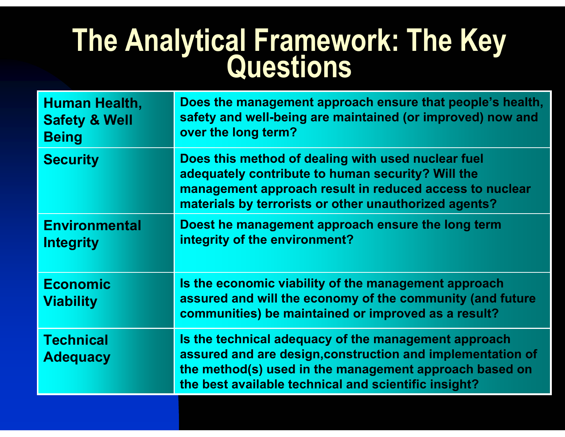# **The Analytical Framework: The Key Questions**

| <b>Human Health,</b><br><b>Safety &amp; Well</b><br><b>Being</b> | Does the management approach ensure that people's health<br>safety and well-being are maintained (or improved) now and<br>over the long term?                                                                                        |
|------------------------------------------------------------------|--------------------------------------------------------------------------------------------------------------------------------------------------------------------------------------------------------------------------------------|
| <b>Security</b>                                                  | Does this method of dealing with used nuclear fuel<br>adequately contribute to human security? Will the<br>management approach result in reduced access to nuclear<br>materials by terrorists or other unauthorized agents?          |
| <b>Environmental</b><br><b>Integrity</b>                         | Doest he management approach ensure the long term<br>integrity of the environment?                                                                                                                                                   |
| <b>Economic</b><br><b>Viability</b>                              | Is the economic viability of the management approach<br>assured and will the economy of the community (and future<br>communities) be maintained or improved as a result?                                                             |
| <b>Technical</b><br><b>Adequacy</b>                              | Is the technical adequacy of the management approach<br>assured and are design, construction and implementation of<br>the method(s) used in the management approach based on<br>the best available technical and scientific insight? |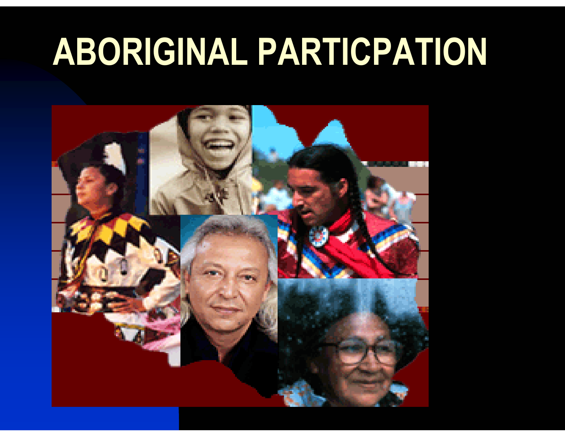## **ABORIGINAL PARTICPATION**

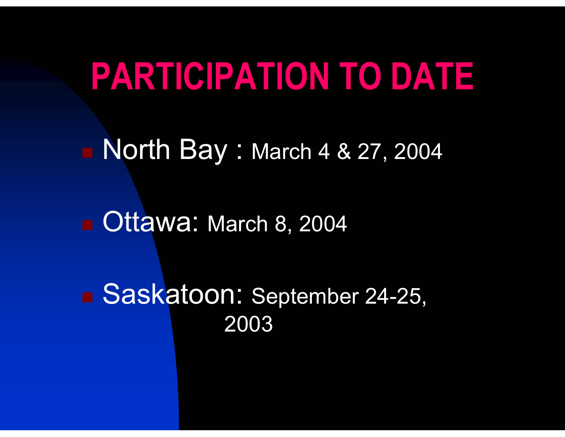## **PARTICIPATION TO DATE**

North Bay : March 4 & 27, 2004

**Ottawa: March 8, 2004** 

■ Saskatoon: September 24-25, 2003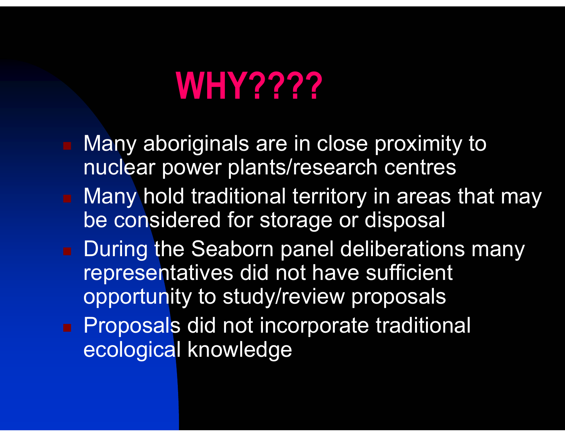## **WHY????**

- Many aboriginals are in close proximity to nuclear power plants/research centres
- Many hold traditional territory in areas that may be considered for storage or disposal
- During the Seaborn panel deliberations many representatives did not have sufficient opportunity to study/review proposals
- **Proposals did not incorporate traditional** ecological knowledge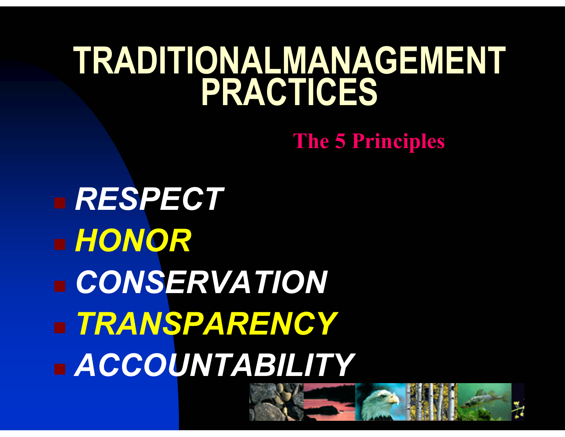## **TRADITIONALMANAGEMENT PRACTICES**

**The 5 Principles**

 *RESPECT HONOR CONSERVATION TRANSPARENCY ACCOUNTABILITY*

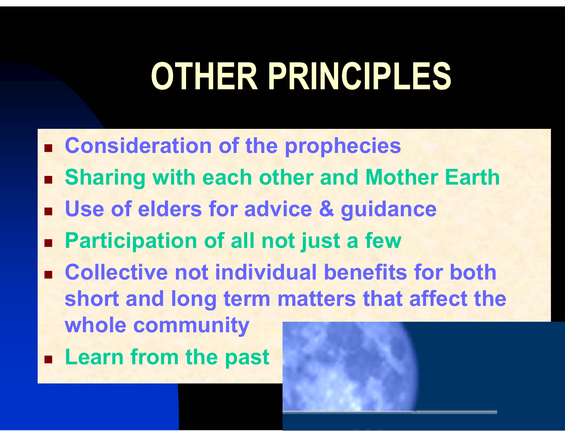## **OTHER PRINCIPLES**

- **Consideration of the prophecies**
- **Sharing with each other and Mother Earth**
- **Use of elders for advice & guidance**
- **Participation of all not just a few**
- **Collective not individual benefits for both short and long term matters that affect the whole community**
- **Learn from the past**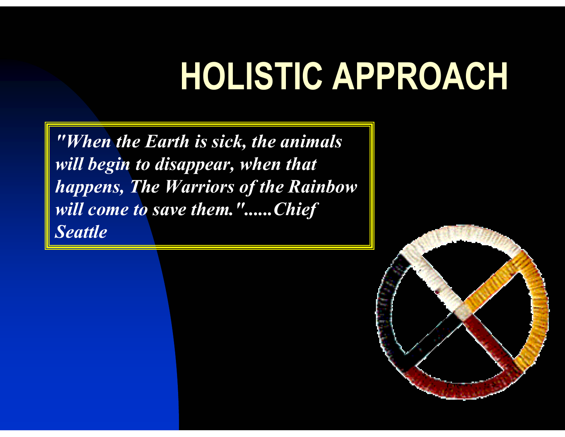## **HOLISTIC APPROACH**

*"When the Earth is sick, the animals will begin to disappear, when that happens, The Warriors of the Rainbow will come to save them."......Chief Seattle*

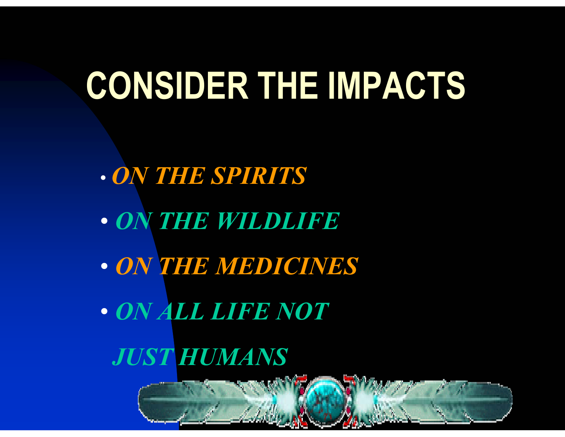## **CONSIDER THE IMPACTS**

• *ON THE SPIRITS*• *ON THE WILDLIFE*• *ON THE MEDICINES*• *ON ALL LIFE NOT JUST HUMANS*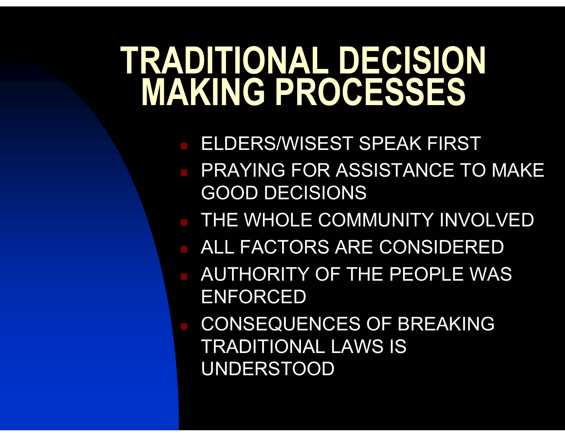## **TRADITIONAL DECISION MAKING PROCESSES**

- ELDERS/WISEST SPEAK FIRST
- PRAYING FOR ASSISTANCE TO MAKE GOOD DECISIONS
- THE WHOLE COMMUNITY INVOLVED
- ALL FACTORS ARE CONSIDERED
- AUTHORITY OF THE PEOPLE WAS ENFORCED
- CONSEQUENCES OF BREAKING TRADITIONAL LAWS IS UNDERSTOOD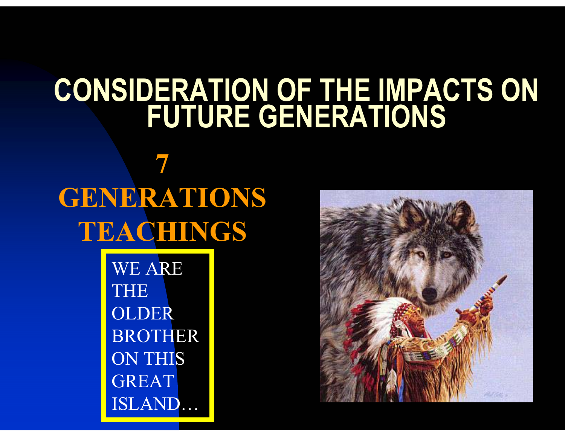#### **CONSIDERATION OF THE IMPACTS ON FUTURE GENERATIONS**

### **GENERATIONS TEACHINGS**

**7** 

WE ARE THE OLDER BROTHER ON THIS **GREAT** ISLAND…

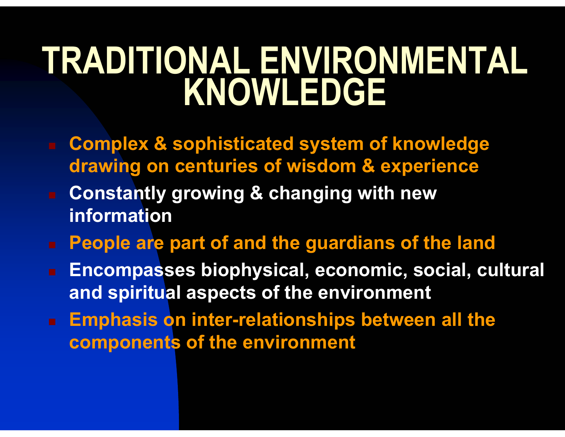## **TRADITIONAL ENVIRONMENTAL KNOWLEDGE**

- **Complex & sophisticated system of knowledge drawing on centuries of wisdom & experience**
- **Constantly growing & changing with new information**
- **People are part of and the guardians of the land**
- **Encompasses biophysical, economic, social, cultural and spiritual aspects of the environment**
- **Emphasis on inter-relationships between all the components of the environment**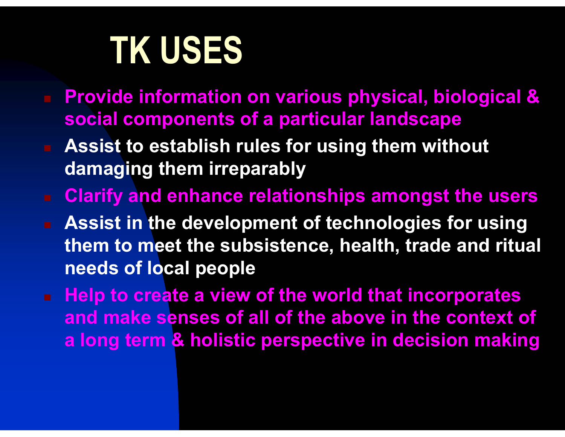## **TK USES**

- **Provide information on various physical, biological & social components of a particular landscape**
- **Assist to establish rules for using them without damaging them irreparably**
- **Clarify and enhance relationships amongst the users**
- **Assist in the development of technologies for using them to meet the subsistence, health, trade and ritual needs of local people**
- **Help to create a view of the world that incorporates and make senses of all of the above in the context of a long term & holistic perspective in decision making**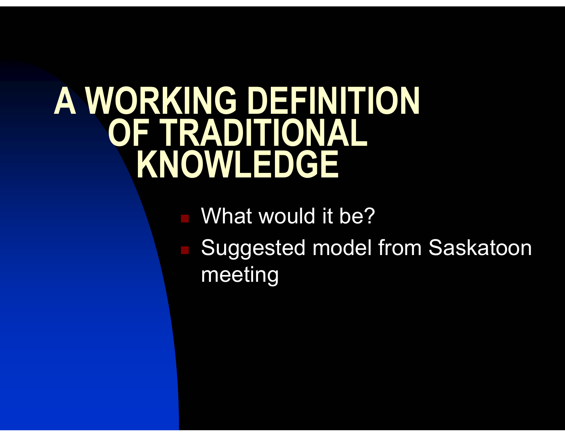### **A WORKING DEFINITION OF TRADITIONAL KNOWLEDGE**

■ What would it be?

 Suggested model from Saskatoon meeting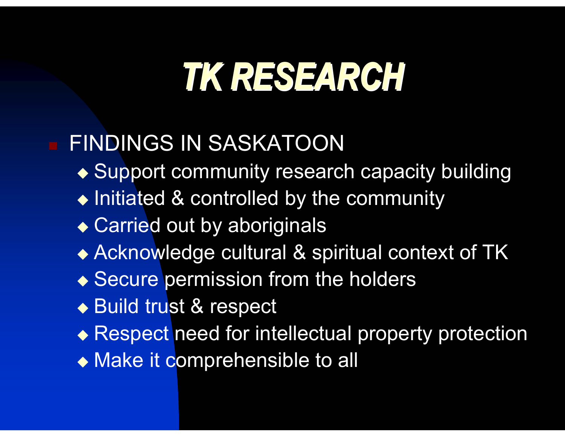## *TK RESEARCH TK RESEARCH*

#### FINDINGS IN SASKATOON

- Support community research capacity building
- ◆ Initiated & controlled by the community
- ◆ Carried out by aboriginals
- Acknowledge cultural & spiritual context of TK
- ◆ Secure permission from the holders
- ◆ Build trust & respect
- ◆ Respect need for intellectual property protection
- ◆ Make it comprehensible to all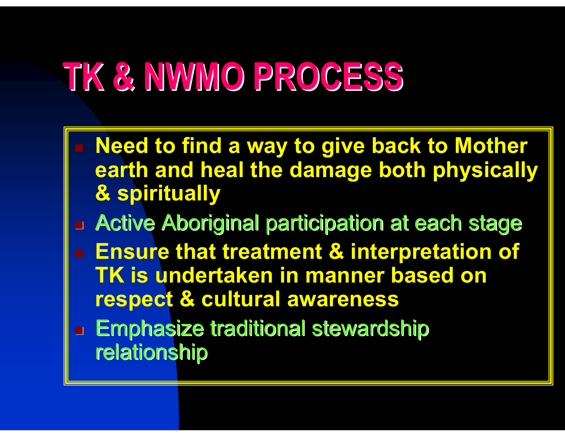## **TK & NWMO PROCESS TK & NWMO PROCESS**

- **Need to find a way to give back to Mother earth and heal the damage both physically & spiritually**
- M.  $\Box$  Active Aboriginal participation at each stage
- **Ensure that treatment & interpretation of TK is undertaken in manner based on respect & cultural awareness**
- **I** □ Emphasize traditional stewardship relationship